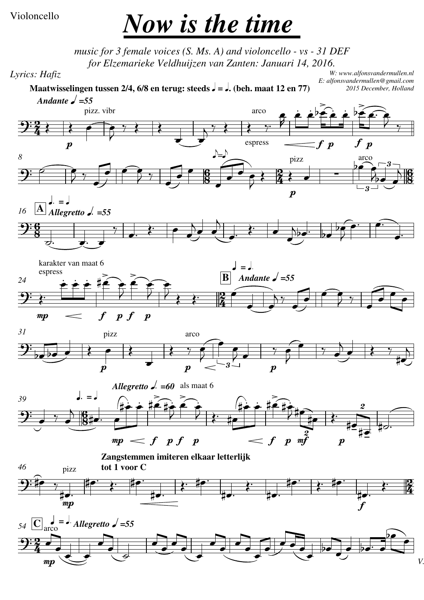## Violoncello

## *Now is the time*

*music for 3 female voices (S. Ms. A) and violoncello - vs - 31 DEF for Elzemarieke Veldhuijzen van Zanten: Januari 14, 2016.*

*Lyrics: Hafiz*

*W: www.alfonsvandermullen.nl E: alfonsvandermullen@gmail.com 2015 December, Holland*

**Maatwisselingen tussen 2/4, 6/8 en terug: steeds**  $\sqrt{ }$  **=**  $\sqrt{ }$ **.** (beh. maat 12 en 77)